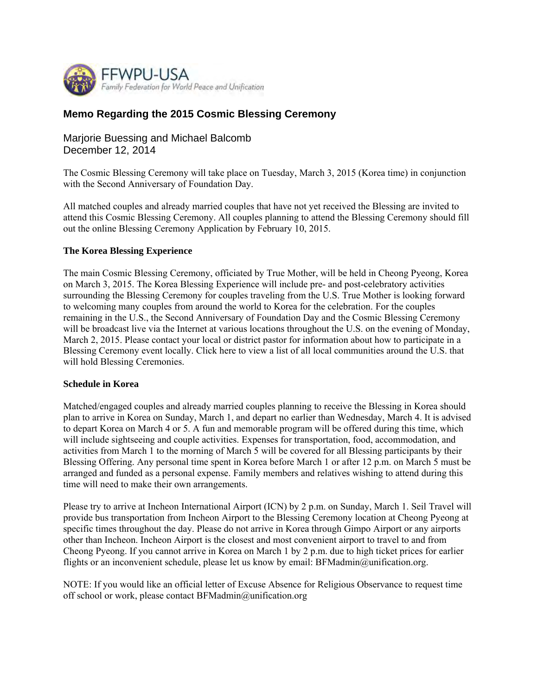

# **Memo Regarding the 2015 Cosmic Blessing Ceremony**

# Marjorie Buessing and Michael Balcomb December 12, 2014

The Cosmic Blessing Ceremony will take place on Tuesday, March 3, 2015 (Korea time) in conjunction with the Second Anniversary of Foundation Day.

All matched couples and already married couples that have not yet received the Blessing are invited to attend this Cosmic Blessing Ceremony. All couples planning to attend the Blessing Ceremony should fill out the online Blessing Ceremony Application by February 10, 2015.

### **The Korea Blessing Experience**

The main Cosmic Blessing Ceremony, officiated by True Mother, will be held in Cheong Pyeong, Korea on March 3, 2015. The Korea Blessing Experience will include pre- and post-celebratory activities surrounding the Blessing Ceremony for couples traveling from the U.S. True Mother is looking forward to welcoming many couples from around the world to Korea for the celebration. For the couples remaining in the U.S., the Second Anniversary of Foundation Day and the Cosmic Blessing Ceremony will be broadcast live via the Internet at various locations throughout the U.S. on the evening of Monday, March 2, 2015. Please contact your local or district pastor for information about how to participate in a Blessing Ceremony event locally. Click here to view a list of all local communities around the U.S. that will hold Blessing Ceremonies.

#### **Schedule in Korea**

Matched/engaged couples and already married couples planning to receive the Blessing in Korea should plan to arrive in Korea on Sunday, March 1, and depart no earlier than Wednesday, March 4. It is advised to depart Korea on March 4 or 5. A fun and memorable program will be offered during this time, which will include sightseeing and couple activities. Expenses for transportation, food, accommodation, and activities from March 1 to the morning of March 5 will be covered for all Blessing participants by their Blessing Offering. Any personal time spent in Korea before March 1 or after 12 p.m. on March 5 must be arranged and funded as a personal expense. Family members and relatives wishing to attend during this time will need to make their own arrangements.

Please try to arrive at Incheon International Airport (ICN) by 2 p.m. on Sunday, March 1. Seil Travel will provide bus transportation from Incheon Airport to the Blessing Ceremony location at Cheong Pyeong at specific times throughout the day. Please do not arrive in Korea through Gimpo Airport or any airports other than Incheon. Incheon Airport is the closest and most convenient airport to travel to and from Cheong Pyeong. If you cannot arrive in Korea on March 1 by 2 p.m. due to high ticket prices for earlier flights or an inconvenient schedule, please let us know by email: BFMadmin@unification.org.

NOTE: If you would like an official letter of Excuse Absence for Religious Observance to request time off school or work, please contact BFMadmin@unification.org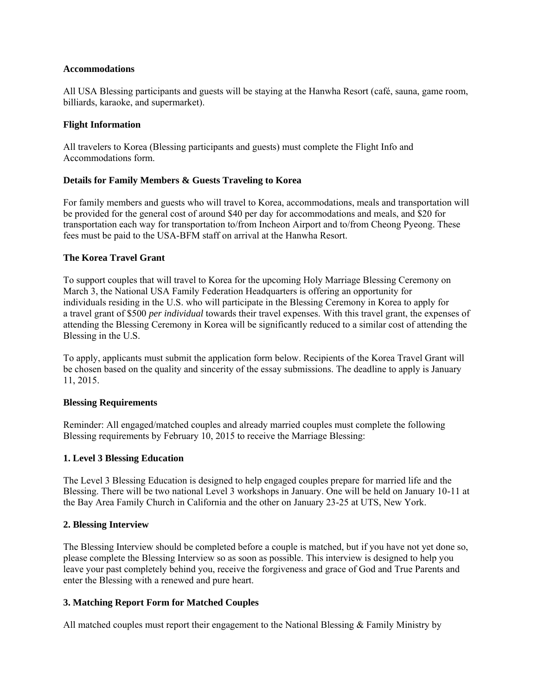### **Accommodations**

All USA Blessing participants and guests will be staying at the Hanwha Resort (café, sauna, game room, billiards, karaoke, and supermarket).

### **Flight Information**

All travelers to Korea (Blessing participants and guests) must complete the Flight Info and Accommodations form.

### **Details for Family Members & Guests Traveling to Korea**

For family members and guests who will travel to Korea, accommodations, meals and transportation will be provided for the general cost of around \$40 per day for accommodations and meals, and \$20 for transportation each way for transportation to/from Incheon Airport and to/from Cheong Pyeong. These fees must be paid to the USA-BFM staff on arrival at the Hanwha Resort.

### **The Korea Travel Grant**

To support couples that will travel to Korea for the upcoming Holy Marriage Blessing Ceremony on March 3, the National USA Family Federation Headquarters is offering an opportunity for individuals residing in the U.S. who will participate in the Blessing Ceremony in Korea to apply for a travel grant of \$500 *per individual* towards their travel expenses. With this travel grant, the expenses of attending the Blessing Ceremony in Korea will be significantly reduced to a similar cost of attending the Blessing in the U.S.

To apply, applicants must submit the application form below. Recipients of the Korea Travel Grant will be chosen based on the quality and sincerity of the essay submissions. The deadline to apply is January 11, 2015.

#### **Blessing Requirements**

Reminder: All engaged/matched couples and already married couples must complete the following Blessing requirements by February 10, 2015 to receive the Marriage Blessing:

#### **1. Level 3 Blessing Education**

The Level 3 Blessing Education is designed to help engaged couples prepare for married life and the Blessing. There will be two national Level 3 workshops in January. One will be held on January 10-11 at the Bay Area Family Church in California and the other on January 23-25 at UTS, New York.

#### **2. Blessing Interview**

The Blessing Interview should be completed before a couple is matched, but if you have not yet done so, please complete the Blessing Interview so as soon as possible. This interview is designed to help you leave your past completely behind you, receive the forgiveness and grace of God and True Parents and enter the Blessing with a renewed and pure heart.

### **3. Matching Report Form for Matched Couples**

All matched couples must report their engagement to the National Blessing  $&$  Family Ministry by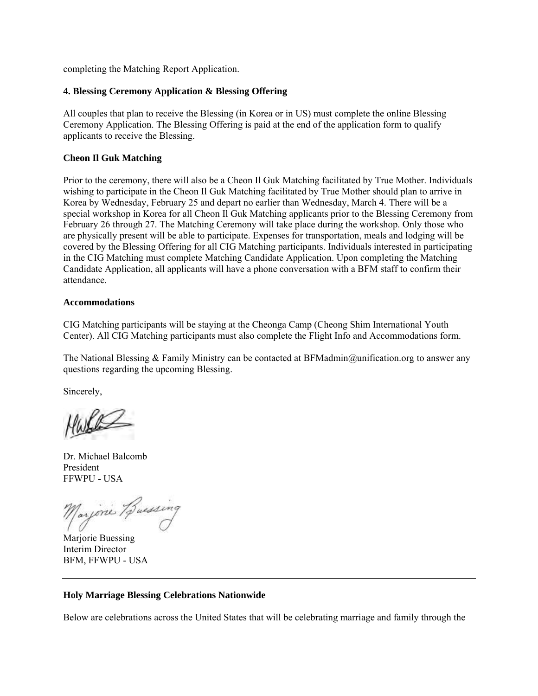completing the Matching Report Application.

## **4. Blessing Ceremony Application & Blessing Offering**

All couples that plan to receive the Blessing (in Korea or in US) must complete the online Blessing Ceremony Application. The Blessing Offering is paid at the end of the application form to qualify applicants to receive the Blessing.

# **Cheon Il Guk Matching**

Prior to the ceremony, there will also be a Cheon Il Guk Matching facilitated by True Mother. Individuals wishing to participate in the Cheon Il Guk Matching facilitated by True Mother should plan to arrive in Korea by Wednesday, February 25 and depart no earlier than Wednesday, March 4. There will be a special workshop in Korea for all Cheon Il Guk Matching applicants prior to the Blessing Ceremony from February 26 through 27. The Matching Ceremony will take place during the workshop. Only those who are physically present will be able to participate. Expenses for transportation, meals and lodging will be covered by the Blessing Offering for all CIG Matching participants. Individuals interested in participating in the CIG Matching must complete Matching Candidate Application. Upon completing the Matching Candidate Application, all applicants will have a phone conversation with a BFM staff to confirm their attendance.

# **Accommodations**

CIG Matching participants will be staying at the Cheonga Camp (Cheong Shim International Youth Center). All CIG Matching participants must also complete the Flight Info and Accommodations form.

The National Blessing & Family Ministry can be contacted at BFMadmin@unification.org to answer any questions regarding the upcoming Blessing.

Sincerely,

Dr. Michael Balcomb President FFWPU - USA

Marjone Buessing

Marjorie Buessing Interim Director BFM, FFWPU - USA

# **Holy Marriage Blessing Celebrations Nationwide**

Below are celebrations across the United States that will be celebrating marriage and family through the